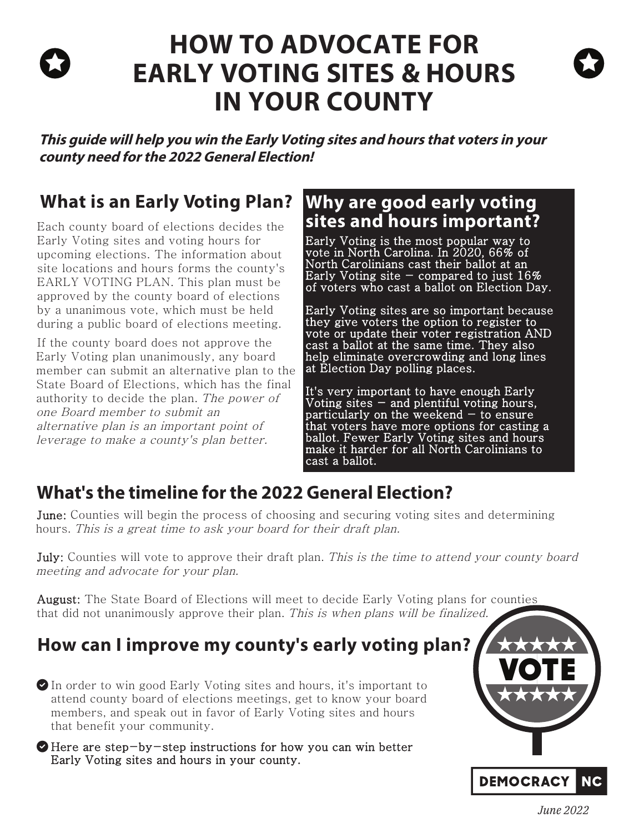# **HOW TO ADVOCATE FOR EARLY VOTING SITES & HOURS IN YOUR COUNTY**

**This guide will help you win the Early Voting sites and hours that voters in your county need for the 2022 General Election!**

## **What is an Early Voting Plan?**

Each county board of elections decides the Early Voting sites and voting hours for upcoming elections. The information about site locations and hours forms the county's EARLY VOTING PLAN. This plan must be approved by the county board of elections by a unanimous vote, which must be held during a public board of elections meeting.

If the county board does not approve the Early Voting plan unanimously, any board member can submit an alternative plan to the State Board of Elections, which has the final authority to decide the plan. The power of one Board member to submit an alternative plan is an important point of leverage to make a county's plan better.

### **Why are good early voting sites and hours important?**

Early Voting is the most popular way to vote in North Carolina. In 2020, 66% of North Carolinians cast their ballot at an Early Voting site - compared to just  $16\%$ of voters who cast a ballot on Election Day.

Early Voting sites are so important because they give voters the option to register to vote or update their voter registration AND cast a ballot at the same time. They also help eliminate overcrowding and long lines at Election Day polling places.

It's very important to have enough Early Voting sites  $-$  and plentiful voting hours, particularly on the weekend  $-$  to ensure that voters have more options for casting a ballot. Fewer Early Voting sites and hours make it harder for all North Carolinians to cast a ballot.

## **What's the timeline for the 2022 General Election?**

June: Counties will begin the process of choosing and securing voting sites and determining hours. This is a great time to ask your board for their draft plan.

**July:** Counties will vote to approve their draft plan. This is the time to attend your county board meeting and advocate for your plan.

August: The State Board of Elections will meet to decide Early Voting plans for counties that did not unanimously approve their plan. This is when plans will be finalized.

## **How can I improve my county's early voting plan?**

In order to win good Early Voting sites and hours, it's important to attend county board of elections meetings, get to know your board members, and speak out in favor of Early Voting sites and hours that benefit your community.

Here are step-by-step instructions for how you can win better Early Voting sites and hours in your county.



*June 2022*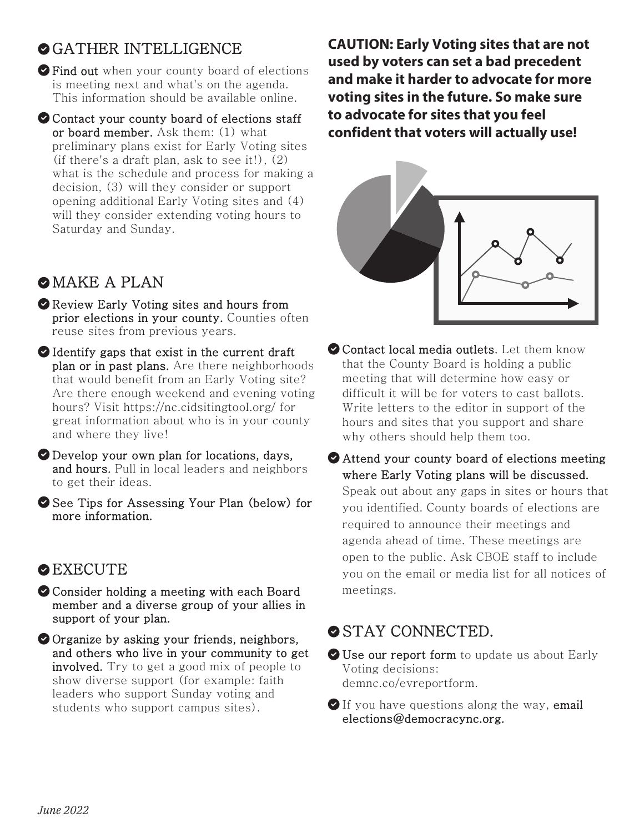### OGATHER INTELLIGENCE

 $\bullet$  Find out when your county board of elections is meeting next and what's on the agenda. This information should be available online.

O Contact your county board of elections staff or board member. Ask them: (1) what preliminary plans exist for Early Voting sites (if there's a draft plan, ask to see it!), (2) what is the schedule and process for making a decision, (3) will they consider or support opening additional Early Voting sites and (4) will they consider extending voting hours to Saturday and Sunday.

### **O**MAKE A PLAN

- Review Early Voting sites and hours from prior elections in your county. Counties often reuse sites from previous years.
- Identify gaps that exist in the current draft plan or in past plans. Are there neighborhoods that would benefit from an Early Voting site? Are there enough weekend and evening voting hours? Visit https://nc.cidsitingtool.org/ for great information about who is in your county and where they live!
- Develop your own plan for locations, days, and hours. Pull in local leaders and neighbors to get their ideas.
- See Tips for Assessing Your Plan (below) for more information.

### **O** EXECUTE

- O Consider holding a meeting with each Board member and a diverse group of your allies in support of your plan.
- Organize by asking your friends, neighbors, and others who live in your community to get involved. Try to get a good mix of people to show diverse support (for example: faith leaders who support Sunday voting and students who support campus sites).

**CAUTION: Early Voting sites that are not used by voters can set a bad precedent and make it harder to advocate for more voting sites in the future. So make sure to advocate for sites that you feel confident that voters will actually use!** 



- Contact local media outlets. Let them know that the County Board is holding a public meeting that will determine how easy or difficult it will be for voters to cast ballots. Write letters to the editor in support of the hours and sites that you support and share why others should help them too.
- Attend your county board of elections meeting where Early Voting plans will be discussed. Speak out about any gaps in sites or hours that you identified. County boards of elections are required to announce their meetings and agenda ahead of time. These meetings are open to the public. Ask CBOE staff to include you on the email or media list for all notices of meetings.

### **STAY CONNECTED.**

- Use our report form to update us about Early Voting decisions: demnc.co/evreportform.
- If you have questions along the way, email elections@democracync.org.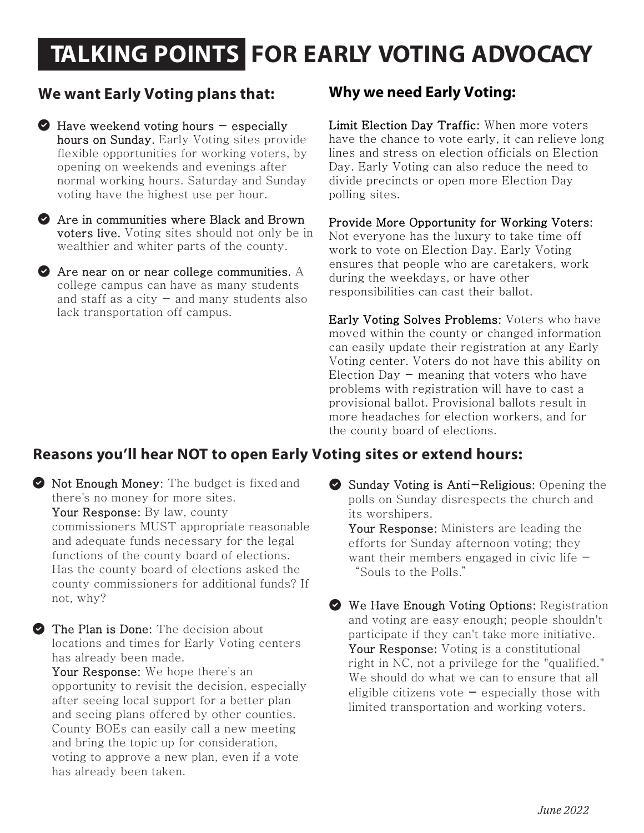# **TALKING POINTS FOR EARLY VOTING ADVOCACY**

#### **We want Early Voting plans that:**

- $\bullet$  Have weekend voting hours  $-$  especially hours on Sunday. Early Voting sites provide flexible opportunities for working voters, by opening on weekends and evenings after normal working hours. Saturday and Sunday voting have the highest use per hour.
- Are in communities where Black and Brown voters live. Voting sites should not only be in wealthier and whiter parts of the county.
- **Are near on or near college communities.** A college campus can have as many students and staff as a city  $-$  and many students also lack transportation off campus.

#### **Why we need Early Voting:**

Limit Election Day Traffic: When more voters have the chance to vote early, it can relieve long lines and stress on election officials on Election Day. Early Voting can also reduce the need to divide precincts or open more Election Day polling sites.

Provide More Opportunity for Working Voters:

Not everyone has the luxury to take time off work to vote on Election Day. Early Voting ensures that people who are caretakers, work during the weekdays, or have other responsibilities can cast their ballot.

Early Voting Solves Problems: Voters who have moved within the county or changed information can easily update their registration at any Early Voting center. Voters do not have this ability on Election Day  $-$  meaning that voters who have problems with registration will have to cast a provisional ballot. Provisional ballots result in more headaches for election workers, and for the county board of elections.

#### **Reasons you'll hear NOT to open Early Voting sites or extend hours:**

 $\bullet$  Not Enough Money: The budget is fixed and there's no money for more sites. Your Response: By law, county commissioners MUST appropriate reasonable and adequate funds necessary for the legal functions of the county board of elections. Has the county board of elections asked the county commissioners for additional funds? If not, why?

The Plan is Done: The decision about locations and times for Early Voting centers has already been made.

Your Response: We hope there's an opportunity to revisit the decision, especially after seeing local support for a better plan and seeing plans offered by other counties. County BOEs can easily call a new meeting and bring the topic up for consideration, voting to approve a new plan, even if a vote has already been taken.

Sunday Voting is Anti-Religious: Opening the polls on Sunday disrespects the church and its worshipers.

Your Response: Ministers are leading the efforts for Sunday afternoon voting; they want their members engaged in civic life  $-$ "Souls to the Polls."

We Have Enough Voting Options: Registration and voting are easy enough; people shouldn't participate if they can't take more initiative. Your Response: Voting is a constitutional right in NC, not a privilege for the "qualified." We should do what we can to ensure that all eligible citizens vote  $-$  especially those with limited transportation and working voters.